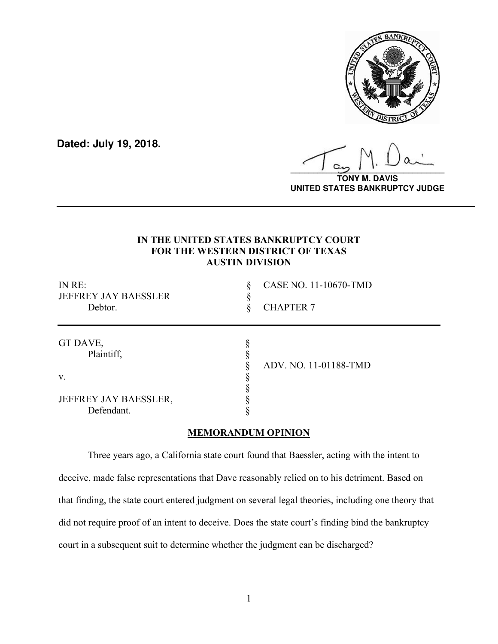

**Dated: July 19, 2018.**

**\_\_\_\_\_\_\_\_\_\_\_\_\_\_\_\_\_\_\_\_\_\_\_\_\_\_\_\_\_\_\_\_\_\_**

**TONY M. DAVIS UNITED STATES BANKRUPTCY JUDGE**

# **IN THE UNITED STATES BANKRUPTCY COURT FOR THE WESTERN DISTRICT OF TEXAS AUSTIN DIVISION**

**\_\_\_\_\_\_\_\_\_\_\_\_\_\_\_\_\_\_\_\_\_\_\_\_\_\_\_\_\_\_\_\_\_\_\_\_\_\_\_\_\_\_\_\_\_\_\_\_\_\_\_\_\_\_\_\_\_\_\_\_\_\_\_\_\_\_**

| IN RE:<br><b>JEFFREY JAY BAESSLER</b><br>Debtor. | CASE NO. 11-10670-TMD<br><b>CHAPTER 7</b> |  |
|--------------------------------------------------|-------------------------------------------|--|
| GT DAVE,<br>Plaintiff,                           | ADV. NO. 11-01188-TMD                     |  |
| V.                                               |                                           |  |
| JEFFREY JAY BAESSLER,<br>Defendant.              |                                           |  |

## **MEMORANDUM OPINION**

Three years ago, a California state court found that Baessler, acting with the intent to deceive, made false representations that Dave reasonably relied on to his detriment. Based on that finding, the state court entered judgment on several legal theories, including one theory that did not require proof of an intent to deceive. Does the state court's finding bind the bankruptcy court in a subsequent suit to determine whether the judgment can be discharged?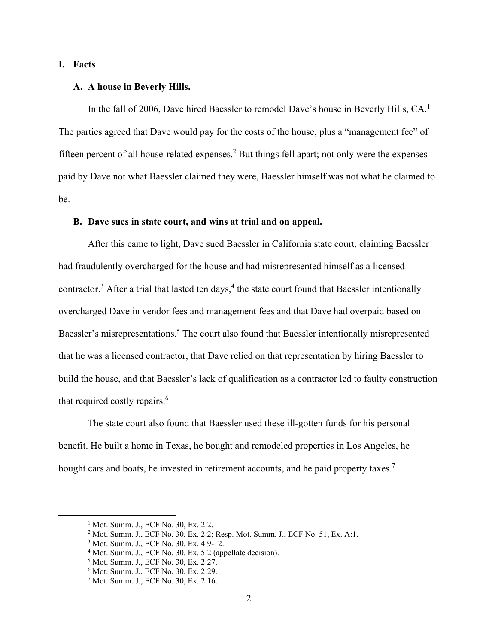### **I. Facts**

### **A. A house in Beverly Hills.**

In the fall of 2006, Dave hired Baessler to remodel Dave's house in Beverly Hills, CA.<sup>1</sup> The parties agreed that Dave would pay for the costs of the house, plus a "management fee" of fifteen percent of all house-related expenses.<sup>2</sup> But things fell apart; not only were the expenses paid by Dave not what Baessler claimed they were, Baessler himself was not what he claimed to be.

#### **B. Dave sues in state court, and wins at trial and on appeal.**

After this came to light, Dave sued Baessler in California state court, claiming Baessler had fraudulently overcharged for the house and had misrepresented himself as a licensed contractor.<sup>3</sup> After a trial that lasted ten days,<sup>4</sup> the state court found that Baessler intentionally overcharged Dave in vendor fees and management fees and that Dave had overpaid based on Baessler's misrepresentations.<sup>5</sup> The court also found that Baessler intentionally misrepresented that he was a licensed contractor, that Dave relied on that representation by hiring Baessler to build the house, and that Baessler's lack of qualification as a contractor led to faulty construction that required costly repairs. $6$ 

The state court also found that Baessler used these ill-gotten funds for his personal benefit. He built a home in Texas, he bought and remodeled properties in Los Angeles, he bought cars and boats, he invested in retirement accounts, and he paid property taxes.<sup>7</sup>

<sup>1</sup> Mot. Summ. J., ECF No. 30, Ex. 2:2.

<sup>&</sup>lt;sup>2</sup> Mot. Summ. J., ECF No. 30, Ex. 2:2; Resp. Mot. Summ. J., ECF No. 51, Ex. A:1.

<sup>3</sup> Mot. Summ. J., ECF No. 30, Ex. 4:9-12.

<sup>&</sup>lt;sup>4</sup> Mot. Summ. J., ECF No. 30, Ex. 5:2 (appellate decision).

<sup>&</sup>lt;sup>5</sup> Mot. Summ. J., ECF No. 30, Ex. 2:27.

<sup>6</sup> Mot. Summ. J., ECF No. 30, Ex. 2:29.

<sup>7</sup> Mot. Summ. J., ECF No. 30, Ex. 2:16.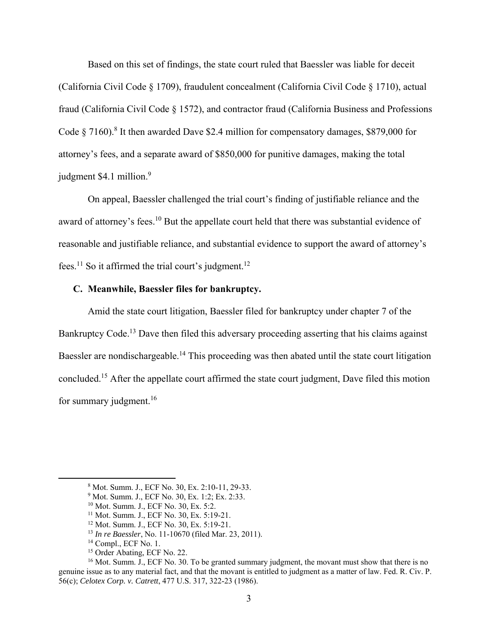Based on this set of findings, the state court ruled that Baessler was liable for deceit (California Civil Code § 1709), fraudulent concealment (California Civil Code § 1710), actual fraud (California Civil Code § 1572), and contractor fraud (California Business and Professions Code  $\S 7160$ .<sup>8</sup> It then awarded Dave \$2.4 million for compensatory damages, \$879,000 for attorney's fees, and a separate award of \$850,000 for punitive damages, making the total judgment \$4.1 million.<sup>9</sup>

On appeal, Baessler challenged the trial court's finding of justifiable reliance and the award of attorney's fees.<sup>10</sup> But the appellate court held that there was substantial evidence of reasonable and justifiable reliance, and substantial evidence to support the award of attorney's fees.<sup>11</sup> So it affirmed the trial court's judgment.<sup>12</sup>

### **C. Meanwhile, Baessler files for bankruptcy.**

Amid the state court litigation, Baessler filed for bankruptcy under chapter 7 of the Bankruptcy Code.<sup>13</sup> Dave then filed this adversary proceeding asserting that his claims against Baessler are nondischargeable.<sup>14</sup> This proceeding was then abated until the state court litigation concluded.15 After the appellate court affirmed the state court judgment, Dave filed this motion for summary judgment. $16$ 

<sup>8</sup> Mot. Summ. J., ECF No. 30, Ex. 2:10-11, 29-33.

<sup>9</sup> Mot. Summ. J., ECF No. 30, Ex. 1:2; Ex. 2:33.

<sup>10</sup> Mot. Summ. J., ECF No. 30, Ex. 5:2.

<sup>11</sup> Mot. Summ. J., ECF No. 30, Ex. 5:19-21.

<sup>12</sup> Mot. Summ. J., ECF No. 30, Ex. 5:19-21.

<sup>&</sup>lt;sup>13</sup> *In re Baessler*, No. 11-10670 (filed Mar. 23, 2011).<br><sup>14</sup> Compl., ECF No. 1.

<sup>15</sup> Order Abating, ECF No. 22.

<sup>&</sup>lt;sup>16</sup> Mot. Summ. J., ECF No. 30. To be granted summary judgment, the movant must show that there is no genuine issue as to any material fact, and that the movant is entitled to judgment as a matter of law. Fed. R. Civ. P. 56(c); *Celotex Corp. v. Catrett*, 477 U.S. 317, 322-23 (1986).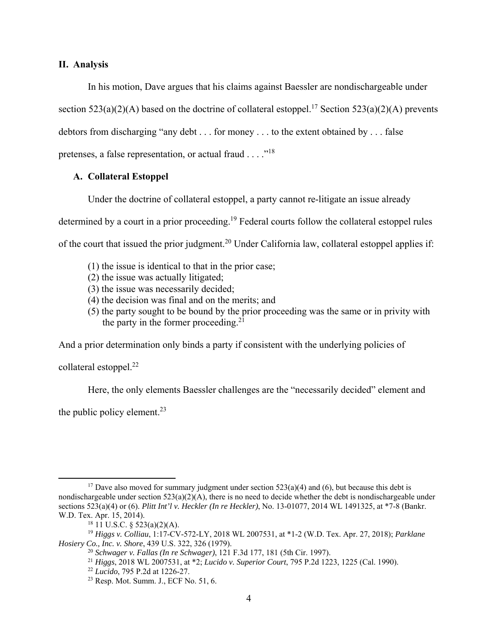### **II. Analysis**

In his motion, Dave argues that his claims against Baessler are nondischargeable under section  $523(a)(2)(A)$  based on the doctrine of collateral estoppel.<sup>17</sup> Section  $523(a)(2)(A)$  prevents debtors from discharging "any debt . . . for money . . . to the extent obtained by . . . false pretenses, a false representation, or actual fraud  $\dots$  ..."<sup>18</sup>

## **A. Collateral Estoppel**

Under the doctrine of collateral estoppel, a party cannot re-litigate an issue already determined by a court in a prior proceeding.<sup>19</sup> Federal courts follow the collateral estoppel rules of the court that issued the prior judgment.20 Under California law, collateral estoppel applies if:

- (1) the issue is identical to that in the prior case;
- (2) the issue was actually litigated;
- (3) the issue was necessarily decided;
- (4) the decision was final and on the merits; and
- (5) the party sought to be bound by the prior proceeding was the same or in privity with the party in the former proceeding. $21$

And a prior determination only binds a party if consistent with the underlying policies of

collateral estoppel. $^{22}$ 

Here, the only elements Baessler challenges are the "necessarily decided" element and

the public policy element. $^{23}$ 

<sup>&</sup>lt;sup>17</sup> Dave also moved for summary judgment under section  $523(a)(4)$  and (6), but because this debt is nondischargeable under section  $523(a)(2)(A)$ , there is no need to decide whether the debt is nondischargeable under sections 523(a)(4) or (6). *Plitt Int'l v. Heckler (In re Heckler)*, No. 13-01077, 2014 WL 1491325, at \*7-8 (Bankr. W.D. Tex. Apr. 15, 2014).

 $18$  11 U.S.C. § 523(a)(2)(A).

<sup>19</sup> *Higgs v. Colliau*, 1:17-CV-572-LY, 2018 WL 2007531, at \*1-2 (W.D. Tex. Apr. 27, 2018); *Parklane Hosiery Co., Inc. v. Shore,* 439 U.S. 322, 326 (1979).<br><sup>20</sup> *Schwager v. Fallas (In re Schwager),* 121 F.3d 177, 181 (5th Cir. 1997).

<sup>&</sup>lt;sup>21</sup> Higgs, 2018 WL 2007531, at \*2; *Lucido v. Superior Court*, 795 P.2d 1223, 1225 (Cal. 1990).<br><sup>22</sup> *Lucido*, 795 P.2d at 1226-27.

<sup>23</sup> Resp. Mot. Summ. J., ECF No. 51, 6.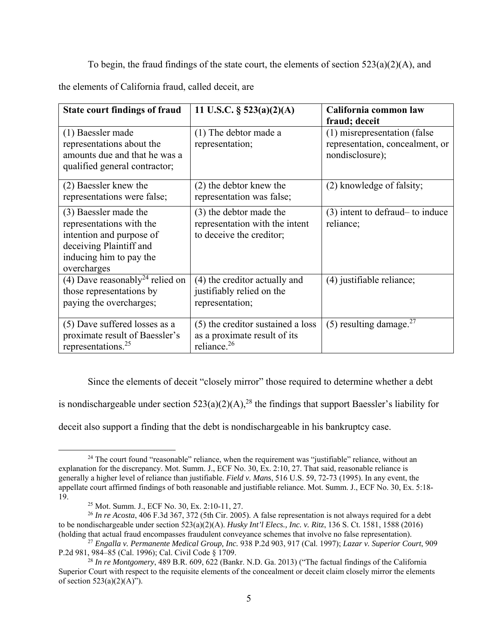To begin, the fraud findings of the state court, the elements of section  $523(a)(2)(A)$ , and

the elements of California fraud, called deceit, are

| <b>State court findings of fraud</b>                                                                                                               | 11 U.S.C. $\S$ 523(a)(2)(A)                                                                  | California common law<br>fraud; deceit                                             |
|----------------------------------------------------------------------------------------------------------------------------------------------------|----------------------------------------------------------------------------------------------|------------------------------------------------------------------------------------|
| (1) Baessler made<br>representations about the<br>amounts due and that he was a<br>qualified general contractor;                                   | (1) The debtor made a<br>representation;                                                     | (1) misrepresentation (false<br>representation, concealment, or<br>nondisclosure); |
| (2) Baessler knew the<br>representations were false;                                                                                               | (2) the debtor knew the<br>representation was false;                                         | (2) knowledge of falsity;                                                          |
| (3) Baessler made the<br>representations with the<br>intention and purpose of<br>deceiving Plaintiff and<br>inducing him to pay the<br>overcharges | (3) the debtor made the<br>representation with the intent<br>to deceive the creditor;        | (3) intent to defraud – to induce<br>reliance;                                     |
| (4) Dave reasonably <sup>24</sup> relied on<br>those representations by<br>paying the overcharges;                                                 | (4) the creditor actually and<br>justifiably relied on the<br>representation;                | (4) justifiable reliance;                                                          |
| (5) Dave suffered losses as a<br>proximate result of Baessler's<br>representations. <sup>25</sup>                                                  | (5) the creditor sustained a loss<br>as a proximate result of its<br>reliance. <sup>26</sup> | $(5)$ resulting damage. <sup>27</sup>                                              |

Since the elements of deceit "closely mirror" those required to determine whether a debt

is nondischargeable under section  $523(a)(2)(A)$ ,<sup>28</sup> the findings that support Baessler's liability for

deceit also support a finding that the debt is nondischargeable in his bankruptcy case.

<sup>&</sup>lt;sup>24</sup> The court found "reasonable" reliance, when the requirement was "justifiable" reliance, without an explanation for the discrepancy. Mot. Summ. J., ECF No. 30, Ex. 2:10, 27. That said, reasonable reliance is generally a higher level of reliance than justifiable. *Field v. Mans*, 516 U.S. 59, 72-73 (1995). In any event, the appellate court affirmed findings of both reasonable and justifiable reliance. Mot. Summ. J., ECF No. 30, Ex. 5:18- 19.

<sup>25</sup> Mot. Summ. J., ECF No. 30, Ex. 2:10-11, 27.

<sup>26</sup> *In re Acosta*, 406 F.3d 367, 372 (5th Cir. 2005). A false representation is not always required for a debt to be nondischargeable under section 523(a)(2)(A). *Husky Int'l Elecs., Inc. v. Ritz*, 136 S. Ct. 1581, 1588 (2016) (holding that actual fraud encompasses fraudulent conveyance schemes that involve no false representation).

<sup>27</sup> *Engalla v. Permanente Medical Group, Inc.* 938 P.2d 903, 917 (Cal. 1997); *Lazar v. Superior Court*, 909 P.2d 981, 984–85 (Cal. 1996); Cal. Civil Code § 1709.

<sup>28</sup> *In re Montgomery*, 489 B.R. 609, 622 (Bankr. N.D. Ga. 2013) ("The factual findings of the California Superior Court with respect to the requisite elements of the concealment or deceit claim closely mirror the elements of section  $523(a)(2)(A)$ ").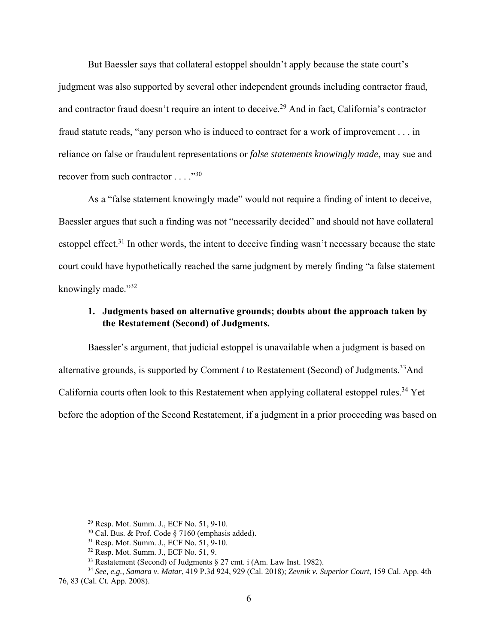But Baessler says that collateral estoppel shouldn't apply because the state court's judgment was also supported by several other independent grounds including contractor fraud, and contractor fraud doesn't require an intent to deceive.<sup>29</sup> And in fact, California's contractor fraud statute reads, "any person who is induced to contract for a work of improvement . . . in reliance on false or fraudulent representations or *false statements knowingly made*, may sue and recover from such contractor  $\dots$ ."30

As a "false statement knowingly made" would not require a finding of intent to deceive, Baessler argues that such a finding was not "necessarily decided" and should not have collateral estoppel effect.<sup>31</sup> In other words, the intent to deceive finding wasn't necessary because the state court could have hypothetically reached the same judgment by merely finding "a false statement knowingly made."<sup>32</sup>

# **1. Judgments based on alternative grounds; doubts about the approach taken by the Restatement (Second) of Judgments.**

Baessler's argument, that judicial estoppel is unavailable when a judgment is based on alternative grounds, is supported by Comment *i* to Restatement (Second) of Judgments.<sup>33</sup>And California courts often look to this Restatement when applying collateral estoppel rules.<sup>34</sup> Yet before the adoption of the Second Restatement, if a judgment in a prior proceeding was based on

<sup>29</sup> Resp. Mot. Summ. J., ECF No. 51, 9-10.

 $30$  Cal. Bus. & Prof. Code § 7160 (emphasis added).

 $31$  Resp. Mot. Summ. J., ECF No.  $51, 9-10$ .

<sup>32</sup> Resp. Mot. Summ. J., ECF No. 51, 9.

<sup>&</sup>lt;sup>33</sup> Restatement (Second) of Judgments  $\S 27$  cmt. i (Am. Law Inst. 1982).

<sup>34</sup> *See, e.g., Samara v. Matar*, 419 P.3d 924, 929 (Cal. 2018); *Zevnik v. Superior Court*, 159 Cal. App. 4th 76, 83 (Cal. Ct. App. 2008).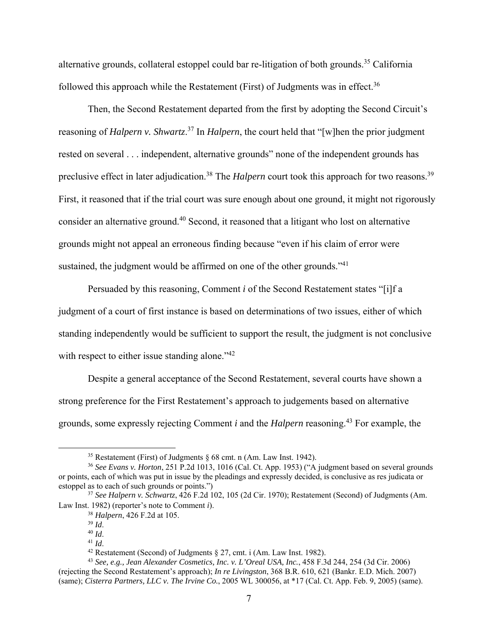alternative grounds, collateral estoppel could bar re-litigation of both grounds.35 California followed this approach while the Restatement (First) of Judgments was in effect.<sup>36</sup>

Then, the Second Restatement departed from the first by adopting the Second Circuit's reasoning of *Halpern v. Shwartz*. 37 In *Halpern*, the court held that "[w]hen the prior judgment rested on several . . . independent, alternative grounds" none of the independent grounds has preclusive effect in later adjudication.<sup>38</sup> The *Halpern* court took this approach for two reasons.<sup>39</sup> First, it reasoned that if the trial court was sure enough about one ground, it might not rigorously consider an alternative ground.40 Second, it reasoned that a litigant who lost on alternative grounds might not appeal an erroneous finding because "even if his claim of error were sustained, the judgment would be affirmed on one of the other grounds."<sup>41</sup>

Persuaded by this reasoning, Comment *i* of the Second Restatement states "[i]f a judgment of a court of first instance is based on determinations of two issues, either of which standing independently would be sufficient to support the result, the judgment is not conclusive with respect to either issue standing alone."<sup>42</sup>

Despite a general acceptance of the Second Restatement, several courts have shown a strong preference for the First Restatement's approach to judgements based on alternative grounds, some expressly rejecting Comment *i* and the *Halpern* reasoning.43 For example, the

<sup>&</sup>lt;sup>35</sup> Restatement (First) of Judgments  $\S$  68 cmt. n (Am. Law Inst. 1942).

<sup>36</sup> *See Evans v. Horton*, 251 P.2d 1013, 1016 (Cal. Ct. App. 1953) ("A judgment based on several grounds or points, each of which was put in issue by the pleadings and expressly decided, is conclusive as res judicata or estoppel as to each of such grounds or points.")

<sup>37</sup> *See Halpern v. Schwartz*, 426 F.2d 102, 105 (2d Cir. 1970); Restatement (Second) of Judgments (Am. Law Inst. 1982) (reporter's note to Comment *i*).

<sup>38</sup> *Halpern*, 426 F.2d at 105.

<sup>&</sup>lt;sup>40</sup> *Id.* 41 *Id.* 41 *Id.* 41 *Id.* 42 Restatement (Second) of Judgments § 27, cmt. i (Am. Law Inst. 1982).

<sup>43</sup> *See, e.g., Jean Alexander Cosmetics, Inc. v. L'Oreal USA, Inc.*, 458 F.3d 244, 254 (3d Cir. 2006) (rejecting the Second Restatement's approach); *In re Livingston*, 368 B.R. 610, 621 (Bankr. E.D. Mich. 2007) (same); *Cisterra Partners, LLC v. The Irvine Co.*, 2005 WL 300056, at \*17 (Cal. Ct. App. Feb. 9, 2005) (same).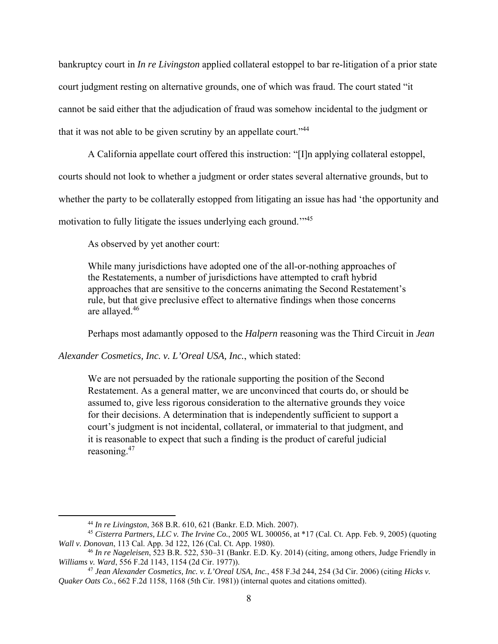bankruptcy court in *In re Livingston* applied collateral estoppel to bar re-litigation of a prior state court judgment resting on alternative grounds, one of which was fraud. The court stated "it cannot be said either that the adjudication of fraud was somehow incidental to the judgment or that it was not able to be given scrutiny by an appellate court."44

A California appellate court offered this instruction: "[I]n applying collateral estoppel, courts should not look to whether a judgment or order states several alternative grounds, but to whether the party to be collaterally estopped from litigating an issue has had 'the opportunity and motivation to fully litigate the issues underlying each ground."<sup>45</sup>

As observed by yet another court:

While many jurisdictions have adopted one of the all-or-nothing approaches of the Restatements, a number of jurisdictions have attempted to craft hybrid approaches that are sensitive to the concerns animating the Second Restatement's rule, but that give preclusive effect to alternative findings when those concerns are allayed.46

Perhaps most adamantly opposed to the *Halpern* reasoning was the Third Circuit in *Jean* 

*Alexander Cosmetics, Inc. v. L'Oreal USA, Inc.*, which stated:

We are not persuaded by the rationale supporting the position of the Second Restatement. As a general matter, we are unconvinced that courts do, or should be assumed to, give less rigorous consideration to the alternative grounds they voice for their decisions. A determination that is independently sufficient to support a court's judgment is not incidental, collateral, or immaterial to that judgment, and it is reasonable to expect that such a finding is the product of careful judicial reasoning.47

<sup>44</sup> *In re Livingston*, 368 B.R. 610, 621 (Bankr. E.D. Mich. 2007).

<sup>45</sup> *Cisterra Partners, LLC v. The Irvine Co.*, 2005 WL 300056, at \*17 (Cal. Ct. App. Feb. 9, 2005) (quoting *Wall v. Donovan*, 113 Cal. App. 3d 122, 126 (Cal. Ct. App. 1980).

<sup>46</sup> *In re Nageleisen*, 523 B.R. 522, 530–31 (Bankr. E.D. Ky. 2014) (citing, among others, Judge Friendly in *Williams v. Ward*, 556 F.2d 1143, 1154 (2d Cir. 1977)).

<sup>47</sup> *Jean Alexander Cosmetics, Inc. v. L'Oreal USA, Inc.*, 458 F.3d 244, 254 (3d Cir. 2006) (citing *Hicks v. Quaker Oats Co.*, 662 F.2d 1158, 1168 (5th Cir. 1981)) (internal quotes and citations omitted).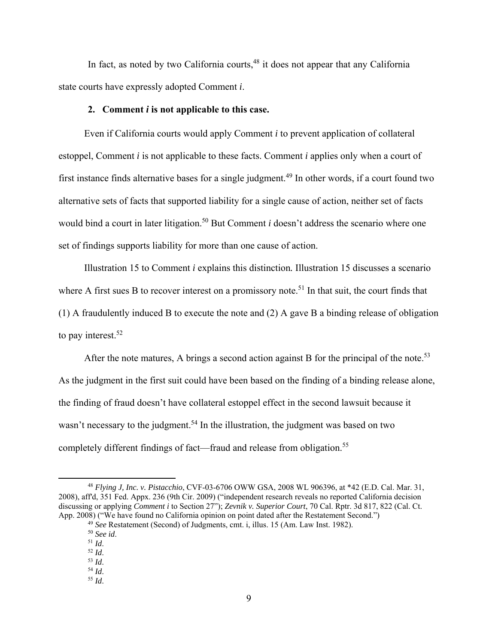In fact, as noted by two California courts,  $48$  it does not appear that any California state courts have expressly adopted Comment *i*.

### **2. Comment** *i* **is not applicable to this case.**

Even if California courts would apply Comment *i* to prevent application of collateral estoppel, Comment *i* is not applicable to these facts. Comment *i* applies only when a court of first instance finds alternative bases for a single judgment.<sup>49</sup> In other words, if a court found two alternative sets of facts that supported liability for a single cause of action, neither set of facts would bind a court in later litigation.<sup>50</sup> But Comment *i* doesn't address the scenario where one set of findings supports liability for more than one cause of action.

Illustration 15 to Comment *i* explains this distinction*.* Illustration 15 discusses a scenario where A first sues B to recover interest on a promissory note.<sup>51</sup> In that suit, the court finds that (1) A fraudulently induced B to execute the note and (2) A gave B a binding release of obligation to pay interest. $52$ 

After the note matures, A brings a second action against B for the principal of the note.<sup>53</sup> As the judgment in the first suit could have been based on the finding of a binding release alone, the finding of fraud doesn't have collateral estoppel effect in the second lawsuit because it wasn't necessary to the judgment.<sup>54</sup> In the illustration, the judgment was based on two completely different findings of fact—fraud and release from obligation.<sup>55</sup>

<sup>48</sup> *Flying J, Inc. v. Pistacchio*, CVF-03-6706 OWW GSA, 2008 WL 906396, at \*42 (E.D. Cal. Mar. 31, 2008), aff'd, 351 Fed. Appx. 236 (9th Cir. 2009) ("independent research reveals no reported California decision discussing or applying *Comment i* to Section 27"); *Zevnik v. Superior Court*, 70 Cal. Rptr. 3d 817, 822 (Cal. Ct. App. 2008) ("We have found no California opinion on point dated after the Restatement Second.")

<sup>49</sup> *See* Restatement (Second) of Judgments, cmt. i, illus. 15 (Am. Law Inst. 1982).

<sup>50</sup> *See id*. 51 *Id*. 52 *Id*. 53 *Id*. 54 *Id*. 55 *Id*.

<sup>9</sup>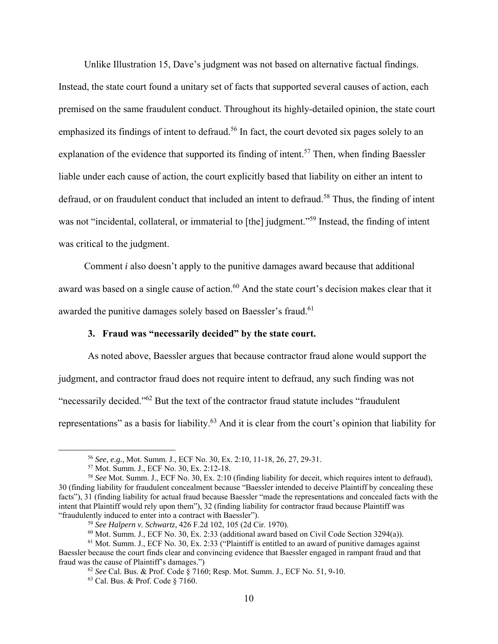Unlike Illustration 15, Dave's judgment was not based on alternative factual findings. Instead, the state court found a unitary set of facts that supported several causes of action, each premised on the same fraudulent conduct. Throughout its highly-detailed opinion, the state court emphasized its findings of intent to defraud.<sup>56</sup> In fact, the court devoted six pages solely to an explanation of the evidence that supported its finding of intent.<sup>57</sup> Then, when finding Baessler liable under each cause of action, the court explicitly based that liability on either an intent to defraud, or on fraudulent conduct that included an intent to defraud.<sup>58</sup> Thus, the finding of intent was not "incidental, collateral, or immaterial to [the] judgment."<sup>59</sup> Instead, the finding of intent was critical to the judgment.

Comment *i* also doesn't apply to the punitive damages award because that additional award was based on a single cause of action.<sup>60</sup> And the state court's decision makes clear that it awarded the punitive damages solely based on Baessler's fraud.<sup>61</sup>

### **3. Fraud was "necessarily decided" by the state court.**

As noted above, Baessler argues that because contractor fraud alone would support the judgment, and contractor fraud does not require intent to defraud, any such finding was not "necessarily decided."62 But the text of the contractor fraud statute includes "fraudulent representations" as a basis for liability.<sup>63</sup> And it is clear from the court's opinion that liability for

<sup>56</sup> *See, e.g.,* Mot. Summ. J., ECF No. 30, Ex. 2:10, 11-18, 26, 27, 29-31. 57 Mot. Summ. J., ECF No. 30, Ex. 2:12-18.

<sup>58</sup> *See* Mot. Summ. J., ECF No. 30, Ex. 2:10 (finding liability for deceit, which requires intent to defraud), 30 (finding liability for fraudulent concealment because "Baessler intended to deceive Plaintiff by concealing these facts"), 31 (finding liability for actual fraud because Baessler "made the representations and concealed facts with the intent that Plaintiff would rely upon them"), 32 (finding liability for contractor fraud because Plaintiff was "fraudulently induced to enter into a contract with Baessler").

<sup>59</sup> *See Halpern v. Schwartz*, 426 F.2d 102, 105 (2d Cir. 1970).

 $^{60}$  Mot. Summ. J., ECF No. 30, Ex. 2:33 (additional award based on Civil Code Section 3294(a)).

 $<sup>61</sup>$  Mot. Summ. J., ECF No. 30, Ex. 2:33 ("Plaintiff is entitled to an award of punitive damages against</sup> Baessler because the court finds clear and convincing evidence that Baessler engaged in rampant fraud and that fraud was the cause of Plaintiff's damages.")

<sup>62</sup> *See* Cal. Bus. & Prof. Code § 7160; Resp. Mot. Summ. J., ECF No. 51, 9-10.

<sup>63</sup> Cal. Bus. & Prof. Code § 7160.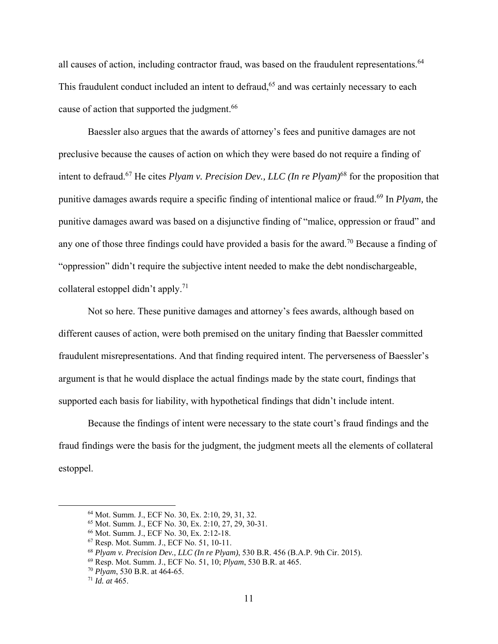all causes of action, including contractor fraud, was based on the fraudulent representations.<sup>64</sup> This fraudulent conduct included an intent to defraud,<sup>65</sup> and was certainly necessary to each cause of action that supported the judgment.<sup>66</sup>

Baessler also argues that the awards of attorney's fees and punitive damages are not preclusive because the causes of action on which they were based do not require a finding of intent to defraud.<sup>67</sup> He cites *Plyam v. Precision Dev., LLC (In re Plyam)*<sup>68</sup> for the proposition that punitive damages awards require a specific finding of intentional malice or fraud.69 In *Plyam,* the punitive damages award was based on a disjunctive finding of "malice, oppression or fraud" and any one of those three findings could have provided a basis for the award.<sup>70</sup> Because a finding of "oppression" didn't require the subjective intent needed to make the debt nondischargeable, collateral estoppel didn't apply.<sup>71</sup>

Not so here. These punitive damages and attorney's fees awards, although based on different causes of action, were both premised on the unitary finding that Baessler committed fraudulent misrepresentations. And that finding required intent. The perverseness of Baessler's argument is that he would displace the actual findings made by the state court, findings that supported each basis for liability, with hypothetical findings that didn't include intent.

Because the findings of intent were necessary to the state court's fraud findings and the fraud findings were the basis for the judgment, the judgment meets all the elements of collateral estoppel.

<sup>64</sup> Mot. Summ. J., ECF No. 30, Ex. 2:10, 29, 31, 32.

<sup>65</sup> Mot. Summ. J., ECF No. 30, Ex. 2:10, 27, 29, 30-31.

<sup>66</sup> Mot. Summ. J., ECF No. 30, Ex. 2:12-18.

<sup>67</sup> Resp. Mot. Summ. J., ECF No. 51, 10-11.

<sup>68</sup> *Plyam v. Precision Dev., LLC (In re Plyam)*, 530 B.R. 456 (B.A.P. 9th Cir. 2015).

<sup>69</sup> Resp. Mot. Summ. J., ECF No. 51, 10; *Plyam*, 530 B.R. at 465.

<sup>70</sup> *Plyam*, 530 B.R. at 464-65.

<sup>71</sup> *Id. at* 465.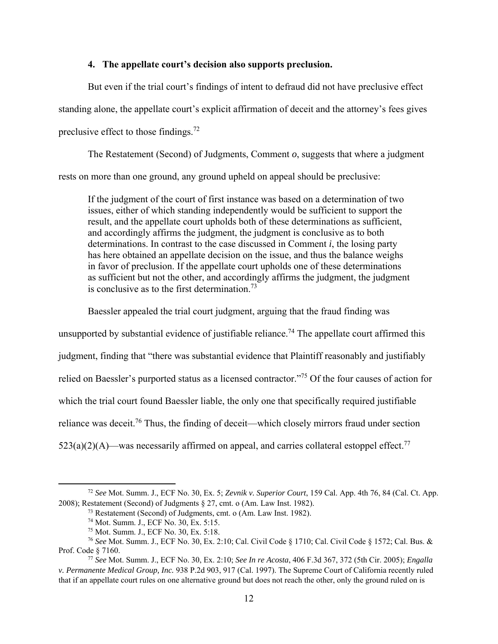## **4. The appellate court's decision also supports preclusion.**

But even if the trial court's findings of intent to defraud did not have preclusive effect standing alone, the appellate court's explicit affirmation of deceit and the attorney's fees gives preclusive effect to those findings.72

The Restatement (Second) of Judgments, Comment *o*, suggests that where a judgment rests on more than one ground, any ground upheld on appeal should be preclusive:

If the judgment of the court of first instance was based on a determination of two issues, either of which standing independently would be sufficient to support the result, and the appellate court upholds both of these determinations as sufficient, and accordingly affirms the judgment, the judgment is conclusive as to both determinations. In contrast to the case discussed in Comment *i*, the losing party has here obtained an appellate decision on the issue, and thus the balance weighs in favor of preclusion. If the appellate court upholds one of these determinations as sufficient but not the other, and accordingly affirms the judgment, the judgment is conclusive as to the first determination.<sup>73</sup>

Baessler appealed the trial court judgment, arguing that the fraud finding was

unsupported by substantial evidence of justifiable reliance.<sup>74</sup> The appellate court affirmed this judgment, finding that "there was substantial evidence that Plaintiff reasonably and justifiably relied on Baessler's purported status as a licensed contractor."75 Of the four causes of action for which the trial court found Baessler liable, the only one that specifically required justifiable reliance was deceit.<sup>76</sup> Thus, the finding of deceit—which closely mirrors fraud under section  $523(a)(2)(A)$ —was necessarily affirmed on appeal, and carries collateral estoppel effect.<sup>77</sup>

<sup>72</sup> *See* Mot. Summ. J., ECF No. 30, Ex. 5; *Zevnik v. Superior Court*, 159 Cal. App. 4th 76, 84 (Cal. Ct. App. 2008); Restatement (Second) of Judgments § 27, cmt. o (Am. Law Inst. 1982).

<sup>&</sup>lt;sup>73</sup> Restatement (Second) of Judgments, cmt. o (Am. Law Inst. 1982).  $^{74}$  Mot. Summ. J., ECF No. 30, Ex. 5:15.

<sup>75</sup> Mot. Summ. J., ECF No. 30, Ex. 5:18.

<sup>76</sup> *See* Mot. Summ. J., ECF No. 30, Ex. 2:10; Cal. Civil Code § 1710; Cal. Civil Code § 1572; Cal. Bus. & Prof. Code § 7160. 77 *See* Mot. Summ. J., ECF No. 30, Ex. 2:10; *See In re Acosta*, 406 F.3d 367, 372 (5th Cir. 2005); *Engalla* 

*v. Permanente Medical Group, Inc.* 938 P.2d 903, 917 (Cal. 1997). The Supreme Court of California recently ruled that if an appellate court rules on one alternative ground but does not reach the other, only the ground ruled on is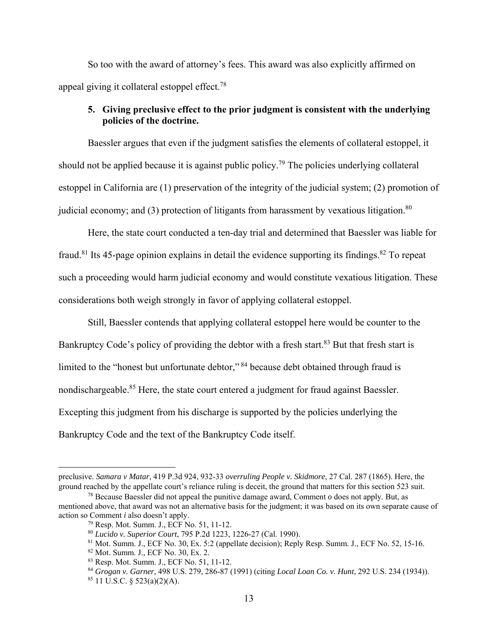So too with the award of attorney's fees. This award was also explicitly affirmed on appeal giving it collateral estoppel effect.<sup>78</sup>

# **5. Giving preclusive effect to the prior judgment is consistent with the underlying policies of the doctrine.**

Baessler argues that even if the judgment satisfies the elements of collateral estoppel, it should not be applied because it is against public policy.<sup>79</sup> The policies underlying collateral estoppel in California are (1) preservation of the integrity of the judicial system; (2) promotion of judicial economy; and  $(3)$  protection of litigants from harassment by vexatious litigation.<sup>80</sup>

Here, the state court conducted a ten-day trial and determined that Baessler was liable for fraud.<sup>81</sup> Its 45-page opinion explains in detail the evidence supporting its findings.<sup>82</sup> To repeat such a proceeding would harm judicial economy and would constitute vexatious litigation. These considerations both weigh strongly in favor of applying collateral estoppel.

Still, Baessler contends that applying collateral estoppel here would be counter to the Bankruptcy Code's policy of providing the debtor with a fresh start.<sup>83</sup> But that fresh start is limited to the "honest but unfortunate debtor," 84 because debt obtained through fraud is nondischargeable.<sup>85</sup> Here, the state court entered a judgment for fraud against Baessler. Excepting this judgment from his discharge is supported by the policies underlying the Bankruptcy Code and the text of the Bankruptcy Code itself.

preclusive. *Samara v Matar*, 419 P.3d 924, 932-33 *overruling People v. Skidmore*, 27 Cal. 287 (1865). Here, the ground reached by the appellate court's reliance ruling is deceit, the ground that matters for this section 523 suit.

<sup>&</sup>lt;sup>78</sup> Because Baessler did not appeal the punitive damage award, Comment  $\sigma$  does not apply. But, as mentioned above, that award was not an alternative basis for the judgment; it was based on its own separate cause of action so Comment *i* also doesn't apply.

<sup>79</sup> Resp. Mot. Summ. J., ECF No. 51, 11-12.

<sup>80</sup> *Lucido v. Superior Court*, 795 P.2d 1223, 1226-27 (Cal. 1990).

<sup>81</sup> Mot. Summ. J., ECF No. 30, Ex. 5:2 (appellate decision); Reply Resp. Summ. J., ECF No. 52, 15-16.

<sup>82</sup> Mot. Summ. J., ECF No. 30, Ex. 2.

<sup>83</sup> Resp. Mot. Summ. J., ECF No. 51, 11-12.

<sup>84</sup> *Grogan v. Garner*, 498 U.S. 279, 286-87 (1991) (citing *Local Loan Co. v. Hunt*, 292 U.S. 234 (1934)).

 $85$  11 U.S.C. § 523(a)(2)(A).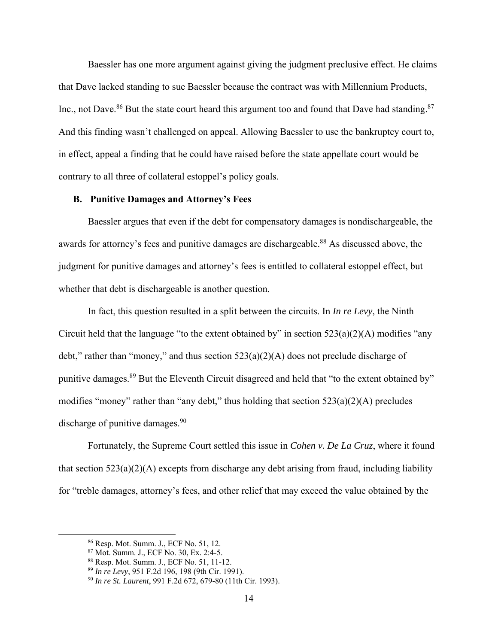Baessler has one more argument against giving the judgment preclusive effect. He claims that Dave lacked standing to sue Baessler because the contract was with Millennium Products, Inc., not Dave.<sup>86</sup> But the state court heard this argument too and found that Dave had standing.<sup>87</sup> And this finding wasn't challenged on appeal. Allowing Baessler to use the bankruptcy court to, in effect, appeal a finding that he could have raised before the state appellate court would be contrary to all three of collateral estoppel's policy goals.

#### **B. Punitive Damages and Attorney's Fees**

Baessler argues that even if the debt for compensatory damages is nondischargeable, the awards for attorney's fees and punitive damages are dischargeable.<sup>88</sup> As discussed above, the judgment for punitive damages and attorney's fees is entitled to collateral estoppel effect, but whether that debt is dischargeable is another question.

In fact, this question resulted in a split between the circuits. In *In re Levy*, the Ninth Circuit held that the language "to the extent obtained by" in section  $523(a)(2)(A)$  modifies "any debt," rather than "money," and thus section  $523(a)(2)(A)$  does not preclude discharge of punitive damages.<sup>89</sup> But the Eleventh Circuit disagreed and held that "to the extent obtained by" modifies "money" rather than "any debt," thus holding that section  $523(a)(2)(A)$  precludes discharge of punitive damages. $90$ 

Fortunately, the Supreme Court settled this issue in *Cohen v. De La Cruz*, where it found that section  $523(a)(2)(A)$  excepts from discharge any debt arising from fraud, including liability for "treble damages, attorney's fees, and other relief that may exceed the value obtained by the

<sup>86</sup> Resp. Mot. Summ. J., ECF No. 51, 12.

<sup>87</sup> Mot. Summ. J., ECF No. 30, Ex. 2:4-5.

<sup>88</sup> Resp. Mot. Summ. J., ECF No. 51, 11-12.

<sup>89</sup> *In re Levy*, 951 F.2d 196, 198 (9th Cir. 1991).

<sup>90</sup> *In re St. Laurent*, 991 F.2d 672, 679-80 (11th Cir. 1993).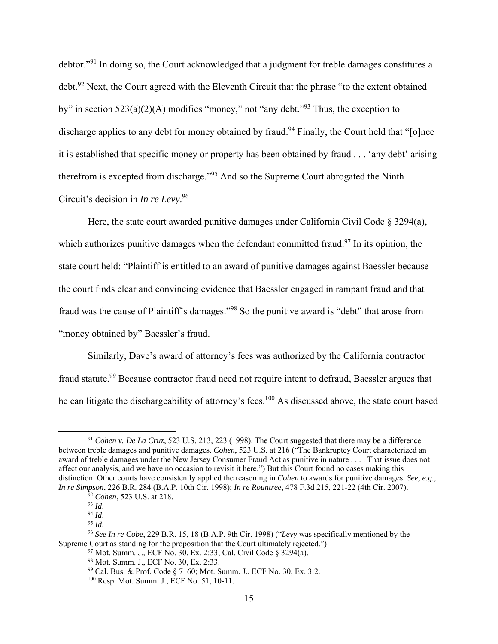debtor."91 In doing so, the Court acknowledged that a judgment for treble damages constitutes a debt.<sup>92</sup> Next, the Court agreed with the Eleventh Circuit that the phrase "to the extent obtained by" in section  $523(a)(2)(A)$  modifies "money," not "any debt."<sup>93</sup> Thus, the exception to discharge applies to any debt for money obtained by fraud.<sup>94</sup> Finally, the Court held that "[o]nce it is established that specific money or property has been obtained by fraud . . . 'any debt' arising therefrom is excepted from discharge."95 And so the Supreme Court abrogated the Ninth Circuit's decision in *In re Levy*. 96

Here, the state court awarded punitive damages under California Civil Code  $\S 3294(a)$ , which authorizes punitive damages when the defendant committed fraud.<sup>97</sup> In its opinion, the state court held: "Plaintiff is entitled to an award of punitive damages against Baessler because the court finds clear and convincing evidence that Baessler engaged in rampant fraud and that fraud was the cause of Plaintiff's damages."98 So the punitive award is "debt" that arose from "money obtained by" Baessler's fraud.

Similarly, Dave's award of attorney's fees was authorized by the California contractor fraud statute.<sup>99</sup> Because contractor fraud need not require intent to defraud, Baessler argues that he can litigate the dischargeability of attorney's fees.<sup>100</sup> As discussed above, the state court based

97 Mot. Summ. J., ECF No. 30, Ex. 2:33; Cal. Civil Code § 3294(a). 98 Mot. Summ. J., ECF No. 30, Ex. 2:33.

<sup>91</sup> *Cohen v. De La Cruz*, 523 U.S. 213, 223 (1998). The Court suggested that there may be a difference between treble damages and punitive damages. *Cohen*, 523 U.S. at 216 ("The Bankruptcy Court characterized an award of treble damages under the New Jersey Consumer Fraud Act as punitive in nature . . . . That issue does not affect our analysis, and we have no occasion to revisit it here.") But this Court found no cases making this distinction. Other courts have consistently applied the reasoning in *Cohen* to awards for punitive damages. *See, e.g., In re Simpson*, 226 B.R. 284 (B.A.P. 10th Cir. 1998); *In re Rountree*, 478 F.3d 215, 221-22 (4th Cir. 2007). <sup>92</sup> *Cohen*, 523 U.S. at 218.<br><sup>93</sup> Id.

<sup>93</sup> *Id*. 94 *Id*. 95 *Id*. 96 *See In re Cobe*, 229 B.R. 15, 18 (B.A.P. 9th Cir. 1998) ("*Levy* was specifically mentioned by the Supreme Court as standing for the proposition that the Court ultimately rejected.")

<sup>99</sup> Cal. Bus. & Prof. Code § 7160; Mot. Summ. J., ECF No. 30, Ex. 3:2.

<sup>100</sup> Resp. Mot. Summ. J., ECF No. 51, 10-11.